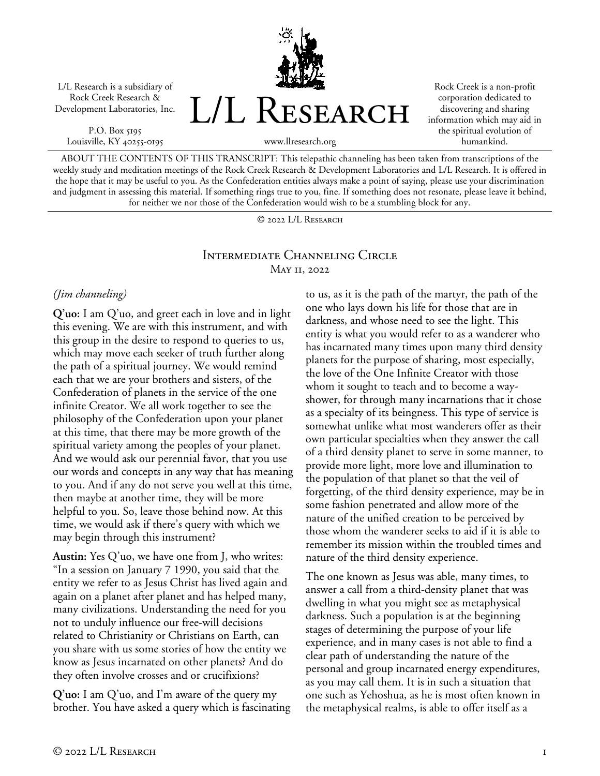L/L Research is a subsidiary of Rock Creek Research & Development Laboratories, Inc.

P.O. Box 5195 Louisville, KY 40255-0195



Rock Creek is a non-profit corporation dedicated to discovering and sharing information which may aid in the spiritual evolution of humankind.

www.llresearch.org

ABOUT THE CONTENTS OF THIS TRANSCRIPT: This telepathic channeling has been taken from transcriptions of the weekly study and meditation meetings of the Rock Creek Research & Development Laboratories and L/L Research. It is offered in the hope that it may be useful to you. As the Confederation entities always make a point of saying, please use your discrimination and judgment in assessing this material. If something rings true to you, fine. If something does not resonate, please leave it behind, for neither we nor those of the Confederation would wish to be a stumbling block for any.

© 2022 L/L Research

### Intermediate Channeling Circle May 11, 2022

### *(Jim channeling)*

**Q'uo:** I am Q'uo, and greet each in love and in light this evening. We are with this instrument, and with this group in the desire to respond to queries to us, which may move each seeker of truth further along the path of a spiritual journey. We would remind each that we are your brothers and sisters, of the Confederation of planets in the service of the one infinite Creator. We all work together to see the philosophy of the Confederation upon your planet at this time, that there may be more growth of the spiritual variety among the peoples of your planet. And we would ask our perennial favor, that you use our words and concepts in any way that has meaning to you. And if any do not serve you well at this time, then maybe at another time, they will be more helpful to you. So, leave those behind now. At this time, we would ask if there's query with which we may begin through this instrument?

**Austin:** Yes Q'uo, we have one from J, who writes: "In a session on January 7 1990, you said that the entity we refer to as Jesus Christ has lived again and again on a planet after planet and has helped many, many civilizations. Understanding the need for you not to unduly influence our free-will decisions related to Christianity or Christians on Earth, can you share with us some stories of how the entity we know as Jesus incarnated on other planets? And do they often involve crosses and or crucifixions?

**Q'uo:** I am Q'uo, and I'm aware of the query my brother. You have asked a query which is fascinating to us, as it is the path of the martyr, the path of the one who lays down his life for those that are in darkness, and whose need to see the light. This entity is what you would refer to as a wanderer who has incarnated many times upon many third density planets for the purpose of sharing, most especially, the love of the One Infinite Creator with those whom it sought to teach and to become a wayshower, for through many incarnations that it chose as a specialty of its beingness. This type of service is somewhat unlike what most wanderers offer as their own particular specialties when they answer the call of a third density planet to serve in some manner, to provide more light, more love and illumination to the population of that planet so that the veil of forgetting, of the third density experience, may be in some fashion penetrated and allow more of the nature of the unified creation to be perceived by those whom the wanderer seeks to aid if it is able to remember its mission within the troubled times and nature of the third density experience.

The one known as Jesus was able, many times, to answer a call from a third-density planet that was dwelling in what you might see as metaphysical darkness. Such a population is at the beginning stages of determining the purpose of your life experience, and in many cases is not able to find a clear path of understanding the nature of the personal and group incarnated energy expenditures, as you may call them. It is in such a situation that one such as Yehoshua, as he is most often known in the metaphysical realms, is able to offer itself as a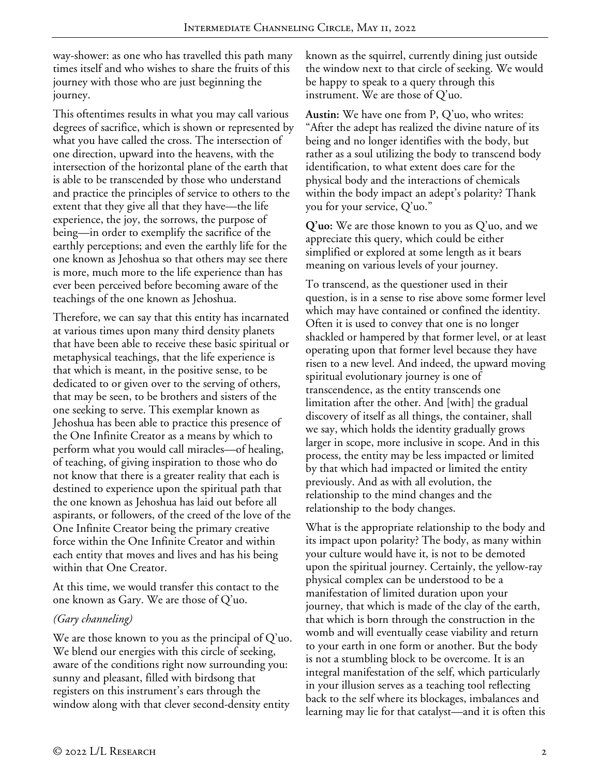way-shower: as one who has travelled this path many times itself and who wishes to share the fruits of this journey with those who are just beginning the journey.

This oftentimes results in what you may call various degrees of sacrifice, which is shown or represented by what you have called the cross. The intersection of one direction, upward into the heavens, with the intersection of the horizontal plane of the earth that is able to be transcended by those who understand and practice the principles of service to others to the extent that they give all that they have—the life experience, the joy, the sorrows, the purpose of being—in order to exemplify the sacrifice of the earthly perceptions; and even the earthly life for the one known as Jehoshua so that others may see there is more, much more to the life experience than has ever been perceived before becoming aware of the teachings of the one known as Jehoshua.

Therefore, we can say that this entity has incarnated at various times upon many third density planets that have been able to receive these basic spiritual or metaphysical teachings, that the life experience is that which is meant, in the positive sense, to be dedicated to or given over to the serving of others, that may be seen, to be brothers and sisters of the one seeking to serve. This exemplar known as Jehoshua has been able to practice this presence of the One Infinite Creator as a means by which to perform what you would call miracles—of healing, of teaching, of giving inspiration to those who do not know that there is a greater reality that each is destined to experience upon the spiritual path that the one known as Jehoshua has laid out before all aspirants, or followers, of the creed of the love of the One Infinite Creator being the primary creative force within the One Infinite Creator and within each entity that moves and lives and has his being within that One Creator.

At this time, we would transfer this contact to the one known as Gary. We are those of Q'uo.

### *(Gary channeling)*

We are those known to you as the principal of Q'uo. We blend our energies with this circle of seeking, aware of the conditions right now surrounding you: sunny and pleasant, filled with birdsong that registers on this instrument's ears through the window along with that clever second-density entity

known as the squirrel, currently dining just outside the window next to that circle of seeking. We would be happy to speak to a query through this instrument. We are those of Q'uo.

**Austin:** We have one from P, Q'uo, who writes: "After the adept has realized the divine nature of its being and no longer identifies with the body, but rather as a soul utilizing the body to transcend body identification, to what extent does care for the physical body and the interactions of chemicals within the body impact an adept's polarity? Thank you for your service, Q'uo."

**Q'uo:** We are those known to you as Q'uo, and we appreciate this query, which could be either simplified or explored at some length as it bears meaning on various levels of your journey.

To transcend, as the questioner used in their question, is in a sense to rise above some former level which may have contained or confined the identity. Often it is used to convey that one is no longer shackled or hampered by that former level, or at least operating upon that former level because they have risen to a new level. And indeed, the upward moving spiritual evolutionary journey is one of transcendence, as the entity transcends one limitation after the other. And [with] the gradual discovery of itself as all things, the container, shall we say, which holds the identity gradually grows larger in scope, more inclusive in scope. And in this process, the entity may be less impacted or limited by that which had impacted or limited the entity previously. And as with all evolution, the relationship to the mind changes and the relationship to the body changes.

What is the appropriate relationship to the body and its impact upon polarity? The body, as many within your culture would have it, is not to be demoted upon the spiritual journey. Certainly, the yellow-ray physical complex can be understood to be a manifestation of limited duration upon your journey, that which is made of the clay of the earth, that which is born through the construction in the womb and will eventually cease viability and return to your earth in one form or another. But the body is not a stumbling block to be overcome. It is an integral manifestation of the self, which particularly in your illusion serves as a teaching tool reflecting back to the self where its blockages, imbalances and learning may lie for that catalyst—and it is often this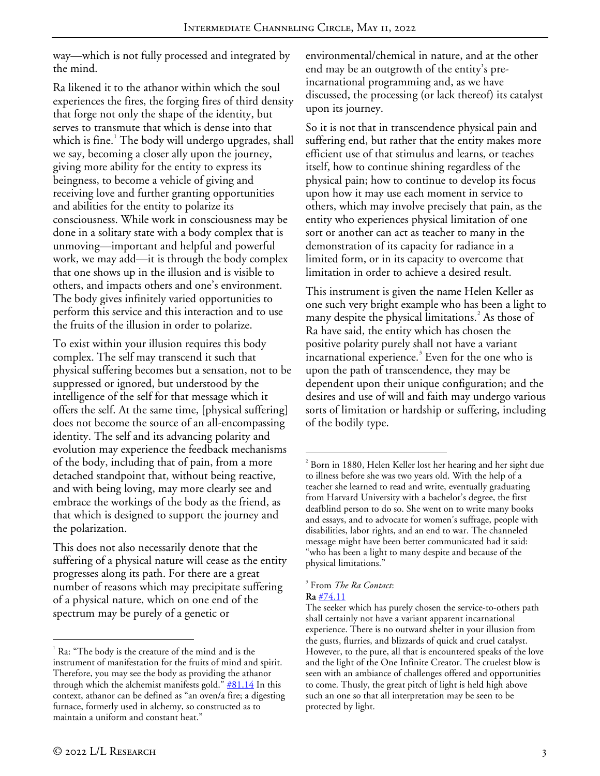way—which is not fully processed and integrated by the mind.

Ra likened it to the athanor within which the soul experiences the fires, the forging fires of third density that forge not only the shape of the identity, but serves to transmute that which is dense into that which is fine.<sup>[1](#page-2-0)</sup> The body will undergo upgrades, shall we say, becoming a closer ally upon the journey, giving more ability for the entity to express its beingness, to become a vehicle of giving and receiving love and further granting opportunities and abilities for the entity to polarize its consciousness. While work in consciousness may be done in a solitary state with a body complex that is unmoving—important and helpful and powerful work, we may add—it is through the body complex that one shows up in the illusion and is visible to others, and impacts others and one's environment. The body gives infinitely varied opportunities to perform this service and this interaction and to use the fruits of the illusion in order to polarize.

To exist within your illusion requires this body complex. The self may transcend it such that physical suffering becomes but a sensation, not to be suppressed or ignored, but understood by the intelligence of the self for that message which it offers the self. At the same time, [physical suffering] does not become the source of an all-encompassing identity. The self and its advancing polarity and evolution may experience the feedback mechanisms of the body, including that of pain, from a more detached standpoint that, without being reactive, and with being loving, may more clearly see and embrace the workings of the body as the friend, as that which is designed to support the journey and the polarization.

<span id="page-2-2"></span><span id="page-2-1"></span>This does not also necessarily denote that the suffering of a physical nature will cease as the entity progresses along its path. For there are a great number of reasons which may precipitate suffering of a physical nature, which on one end of the spectrum may be purely of a genetic or

environmental/chemical in nature, and at the other end may be an outgrowth of the entity's preincarnational programming and, as we have discussed, the processing (or lack thereof) its catalyst upon its journey.

So it is not that in transcendence physical pain and suffering end, but rather that the entity makes more efficient use of that stimulus and learns, or teaches itself, how to continue shining regardless of the physical pain; how to continue to develop its focus upon how it may use each moment in service to others, which may involve precisely that pain, as the entity who experiences physical limitation of one sort or another can act as teacher to many in the demonstration of its capacity for radiance in a limited form, or in its capacity to overcome that limitation in order to achieve a desired result.

This instrument is given the name Helen Keller as one such very bright example who has been a light to many despite the physical limitations.<sup>[2](#page-2-1)</sup> As those of Ra have said, the entity which has chosen the positive polarity purely shall not have a variant  $\frac{1}{2}$  incarnational experience.<sup>[3](#page-2-2)</sup> Even for the one who is upon the path of transcendence, they may be dependent upon their unique configuration; and the desires and use of will and faith may undergo various sorts of limitation or hardship or suffering, including of the bodily type.

 $\overline{a}$ 

<span id="page-2-0"></span> $1$  Ra: "The body is the creature of the mind and is the instrument of manifestation for the fruits of mind and spirit. Therefore, you may see the body as providing the athanor through which the alchemist manifests gold."  $#81.14$  In this context, athanor can be defined as "an oven/a fire; a digesting furnace, formerly used in alchemy, so constructed as to maintain a uniform and constant heat."

 $\overline{a}$  $2^{2}$  Born in 1880, Helen Keller lost her hearing and her sight due to illness before she was two years old. With the help of a teacher she learned to read and write, eventually graduating from Harvard University with a bachelor's degree, the first deafblind person to do so. She went on to write many books and essays, and to advocate for women's suffrage, people with disabilities, labor rights, and an end to war. The channeled message might have been better communicated had it said: "who has been a light to many despite and because of the physical limitations."

<sup>3</sup> From *The Ra Contact*: **Ra** [#74.11](https://www.llresearch.org/channeling/ra-contact/74#11)

The seeker which has purely chosen the service-to-others path shall certainly not have a variant apparent incarnational experience. There is no outward shelter in your illusion from the gusts, flurries, and blizzards of quick and cruel catalyst. However, to the pure, all that is encountered speaks of the love and the light of the One Infinite Creator. The cruelest blow is seen with an ambiance of challenges offered and opportunities to come. Thusly, the great pitch of light is held high above such an one so that all interpretation may be seen to be protected by light.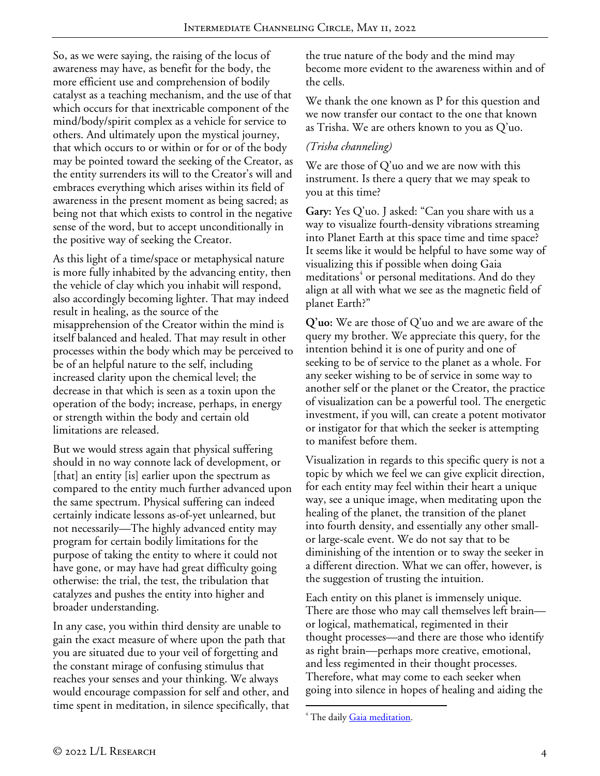So, as we were saying, the raising of the locus of awareness may have, as benefit for the body, the more efficient use and comprehension of bodily catalyst as a teaching mechanism, and the use of that which occurs for that inextricable component of the mind/body/spirit complex as a vehicle for service to others. And ultimately upon the mystical journey, that which occurs to or within or for or of the body may be pointed toward the seeking of the Creator, as the entity surrenders its will to the Creator's will and embraces everything which arises within its field of awareness in the present moment as being sacred; as being not that which exists to control in the negative sense of the word, but to accept unconditionally in the positive way of seeking the Creator.

As this light of a time/space or metaphysical nature is more fully inhabited by the advancing entity, then the vehicle of clay which you inhabit will respond, also accordingly becoming lighter. That may indeed result in healing, as the source of the misapprehension of the Creator within the mind is itself balanced and healed. That may result in other processes within the body which may be perceived to be of an helpful nature to the self, including increased clarity upon the chemical level; the decrease in that which is seen as a toxin upon the operation of the body; increase, perhaps, in energy or strength within the body and certain old limitations are released.

But we would stress again that physical suffering should in no way connote lack of development, or [that] an entity [is] earlier upon the spectrum as compared to the entity much further advanced upon the same spectrum. Physical suffering can indeed certainly indicate lessons as-of-yet unlearned, but not necessarily—The highly advanced entity may program for certain bodily limitations for the purpose of taking the entity to where it could not have gone, or may have had great difficulty going otherwise: the trial, the test, the tribulation that catalyzes and pushes the entity into higher and broader understanding.

<span id="page-3-0"></span>In any case, you within third density are unable to gain the exact measure of where upon the path that you are situated due to your veil of forgetting and the constant mirage of confusing stimulus that reaches your senses and your thinking. We always would encourage compassion for self and other, and time spent in meditation, in silence specifically, that the true nature of the body and the mind may become more evident to the awareness within and of the cells.

We thank the one known as P for this question and we now transfer our contact to the one that known as Trisha. We are others known to you as Q'uo.

## *(Trisha channeling)*

We are those of Q'uo and we are now with this instrument. Is there a query that we may speak to you at this time?

**Gary:** Yes Q'uo. J asked: "Can you share with us a way to visualize fourth-density vibrations streaming into Planet Earth at this space time and time space? It seems like it would be helpful to have some way of visualizing this if possible when doing Gaia meditations<sup>[4](#page-3-0)</sup> or personal meditations. And do they align at all with what we see as the magnetic field of planet Earth?"

**Q'uo:** We are those of Q'uo and we are aware of the query my brother. We appreciate this query, for the intention behind it is one of purity and one of seeking to be of service to the planet as a whole. For any seeker wishing to be of service in some way to another self or the planet or the Creator, the practice of visualization can be a powerful tool. The energetic investment, if you will, can create a potent motivator or instigator for that which the seeker is attempting to manifest before them.

Visualization in regards to this specific query is not a topic by which we feel we can give explicit direction, for each entity may feel within their heart a unique way, see a unique image, when meditating upon the healing of the planet, the transition of the planet into fourth density, and essentially any other smallor large-scale event. We do not say that to be diminishing of the intention or to sway the seeker in a different direction. What we can offer, however, is the suggestion of trusting the intuition.

Each entity on this planet is immensely unique. There are those who may call themselves left brain or logical, mathematical, regimented in their thought processes—and there are those who identify as right brain—perhaps more creative, emotional, and less regimented in their thought processes. Therefore, what may come to each seeker when going into silence in hopes of healing and aiding the

 $\overline{a}$ <sup>4</sup> The daily <u>Gaia meditation</u>.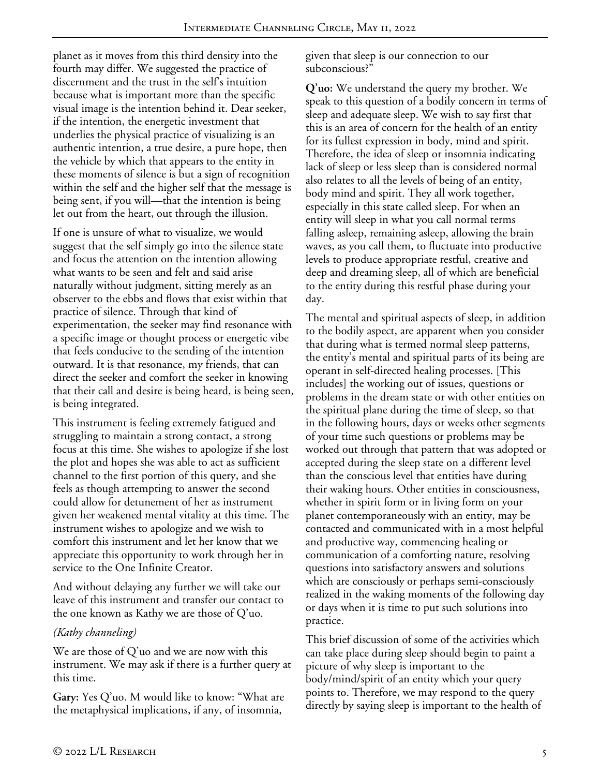planet as it moves from this third density into the fourth may differ. We suggested the practice of discernment and the trust in the self's intuition because what is important more than the specific visual image is the intention behind it. Dear seeker, if the intention, the energetic investment that underlies the physical practice of visualizing is an authentic intention, a true desire, a pure hope, then the vehicle by which that appears to the entity in these moments of silence is but a sign of recognition within the self and the higher self that the message is being sent, if you will—that the intention is being let out from the heart, out through the illusion.

If one is unsure of what to visualize, we would suggest that the self simply go into the silence state and focus the attention on the intention allowing what wants to be seen and felt and said arise naturally without judgment, sitting merely as an observer to the ebbs and flows that exist within that practice of silence. Through that kind of experimentation, the seeker may find resonance with a specific image or thought process or energetic vibe that feels conducive to the sending of the intention outward. It is that resonance, my friends, that can direct the seeker and comfort the seeker in knowing that their call and desire is being heard, is being seen, is being integrated.

This instrument is feeling extremely fatigued and struggling to maintain a strong contact, a strong focus at this time. She wishes to apologize if she lost the plot and hopes she was able to act as sufficient channel to the first portion of this query, and she feels as though attempting to answer the second could allow for detunement of her as instrument given her weakened mental vitality at this time. The instrument wishes to apologize and we wish to comfort this instrument and let her know that we appreciate this opportunity to work through her in service to the One Infinite Creator.

And without delaying any further we will take our leave of this instrument and transfer our contact to the one known as Kathy we are those of Q'uo.

# *(Kathy channeling)*

We are those of  $Q'$  uo and we are now with this instrument. We may ask if there is a further query at this time.

**Gary:** Yes Q'uo. M would like to know: "What are the metaphysical implications, if any, of insomnia,

given that sleep is our connection to our subconscious?"

**Q'uo:** We understand the query my brother. We speak to this question of a bodily concern in terms of sleep and adequate sleep. We wish to say first that this is an area of concern for the health of an entity for its fullest expression in body, mind and spirit. Therefore, the idea of sleep or insomnia indicating lack of sleep or less sleep than is considered normal also relates to all the levels of being of an entity, body mind and spirit. They all work together, especially in this state called sleep. For when an entity will sleep in what you call normal terms falling asleep, remaining asleep, allowing the brain waves, as you call them, to fluctuate into productive levels to produce appropriate restful, creative and deep and dreaming sleep, all of which are beneficial to the entity during this restful phase during your day.

The mental and spiritual aspects of sleep, in addition to the bodily aspect, are apparent when you consider that during what is termed normal sleep patterns, the entity's mental and spiritual parts of its being are operant in self-directed healing processes. [This includes] the working out of issues, questions or problems in the dream state or with other entities on the spiritual plane during the time of sleep, so that in the following hours, days or weeks other segments of your time such questions or problems may be worked out through that pattern that was adopted or accepted during the sleep state on a different level than the conscious level that entities have during their waking hours. Other entities in consciousness, whether in spirit form or in living form on your planet contemporaneously with an entity, may be contacted and communicated with in a most helpful and productive way, commencing healing or communication of a comforting nature, resolving questions into satisfactory answers and solutions which are consciously or perhaps semi-consciously realized in the waking moments of the following day or days when it is time to put such solutions into practice.

This brief discussion of some of the activities which can take place during sleep should begin to paint a picture of why sleep is important to the body/mind/spirit of an entity which your query points to. Therefore, we may respond to the query directly by saying sleep is important to the health of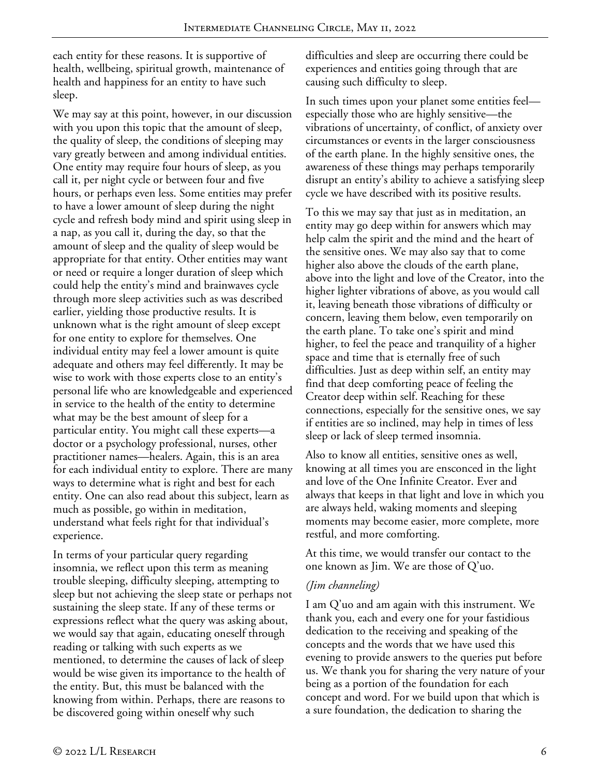each entity for these reasons. It is supportive of health, wellbeing, spiritual growth, maintenance of health and happiness for an entity to have such sleep.

We may say at this point, however, in our discussion with you upon this topic that the amount of sleep, the quality of sleep, the conditions of sleeping may vary greatly between and among individual entities. One entity may require four hours of sleep, as you call it, per night cycle or between four and five hours, or perhaps even less. Some entities may prefer to have a lower amount of sleep during the night cycle and refresh body mind and spirit using sleep in a nap, as you call it, during the day, so that the amount of sleep and the quality of sleep would be appropriate for that entity. Other entities may want or need or require a longer duration of sleep which could help the entity's mind and brainwaves cycle through more sleep activities such as was described earlier, yielding those productive results. It is unknown what is the right amount of sleep except for one entity to explore for themselves. One individual entity may feel a lower amount is quite adequate and others may feel differently. It may be wise to work with those experts close to an entity's personal life who are knowledgeable and experienced in service to the health of the entity to determine what may be the best amount of sleep for a particular entity. You might call these experts—a doctor or a psychology professional, nurses, other practitioner names—healers. Again, this is an area for each individual entity to explore. There are many ways to determine what is right and best for each entity. One can also read about this subject, learn as much as possible, go within in meditation, understand what feels right for that individual's experience.

In terms of your particular query regarding insomnia, we reflect upon this term as meaning trouble sleeping, difficulty sleeping, attempting to sleep but not achieving the sleep state or perhaps not sustaining the sleep state. If any of these terms or expressions reflect what the query was asking about, we would say that again, educating oneself through reading or talking with such experts as we mentioned, to determine the causes of lack of sleep would be wise given its importance to the health of the entity. But, this must be balanced with the knowing from within. Perhaps, there are reasons to be discovered going within oneself why such

difficulties and sleep are occurring there could be experiences and entities going through that are causing such difficulty to sleep.

In such times upon your planet some entities feel especially those who are highly sensitive—the vibrations of uncertainty, of conflict, of anxiety over circumstances or events in the larger consciousness of the earth plane. In the highly sensitive ones, the awareness of these things may perhaps temporarily disrupt an entity's ability to achieve a satisfying sleep cycle we have described with its positive results.

To this we may say that just as in meditation, an entity may go deep within for answers which may help calm the spirit and the mind and the heart of the sensitive ones. We may also say that to come higher also above the clouds of the earth plane, above into the light and love of the Creator, into the higher lighter vibrations of above, as you would call it, leaving beneath those vibrations of difficulty or concern, leaving them below, even temporarily on the earth plane. To take one's spirit and mind higher, to feel the peace and tranquility of a higher space and time that is eternally free of such difficulties. Just as deep within self, an entity may find that deep comforting peace of feeling the Creator deep within self. Reaching for these connections, especially for the sensitive ones, we say if entities are so inclined, may help in times of less sleep or lack of sleep termed insomnia.

Also to know all entities, sensitive ones as well, knowing at all times you are ensconced in the light and love of the One Infinite Creator. Ever and always that keeps in that light and love in which you are always held, waking moments and sleeping moments may become easier, more complete, more restful, and more comforting.

At this time, we would transfer our contact to the one known as Jim. We are those of Q'uo.

### *(Jim channeling)*

I am Q'uo and am again with this instrument. We thank you, each and every one for your fastidious dedication to the receiving and speaking of the concepts and the words that we have used this evening to provide answers to the queries put before us. We thank you for sharing the very nature of your being as a portion of the foundation for each concept and word. For we build upon that which is a sure foundation, the dedication to sharing the